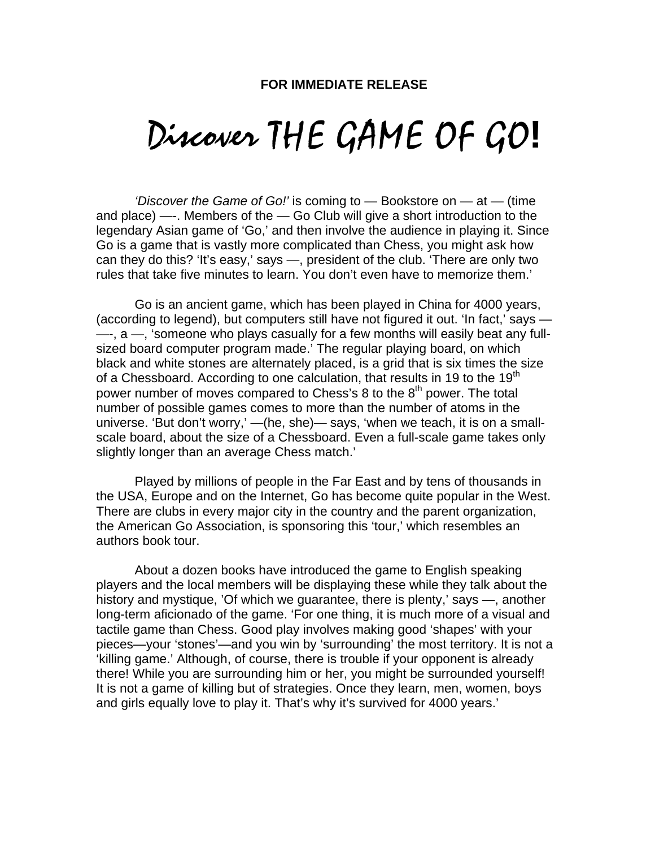## Discover THE GAME OF GO**!**

*'Discover the Game of Go!'* is coming to — Bookstore on — at — (time and place) —-. Members of the — Go Club will give a short introduction to the legendary Asian game of 'Go,' and then involve the audience in playing it. Since Go is a game that is vastly more complicated than Chess, you might ask how can they do this? 'It's easy,' says —, president of the club. 'There are only two rules that take five minutes to learn. You don't even have to memorize them.'

Go is an ancient game, which has been played in China for 4000 years, (according to legend), but computers still have not figured it out. 'In fact,' says — —-, a —, 'someone who plays casually for a few months will easily beat any fullsized board computer program made.' The regular playing board, on which black and white stones are alternately placed, is a grid that is six times the size of a Chessboard. According to one calculation, that results in 19 to the 19<sup>th</sup> power number of moves compared to Chess's 8 to the  $8<sup>th</sup>$  power. The total number of possible games comes to more than the number of atoms in the universe. 'But don't worry,' —(he, she)— says, 'when we teach, it is on a smallscale board, about the size of a Chessboard. Even a full-scale game takes only slightly longer than an average Chess match.'

Played by millions of people in the Far East and by tens of thousands in the USA, Europe and on the Internet, Go has become quite popular in the West. There are clubs in every major city in the country and the parent organization, the American Go Association, is sponsoring this 'tour,' which resembles an authors book tour.

About a dozen books have introduced the game to English speaking players and the local members will be displaying these while they talk about the history and mystique, 'Of which we guarantee, there is plenty,' says —, another long-term aficionado of the game. 'For one thing, it is much more of a visual and tactile game than Chess. Good play involves making good 'shapes' with your pieces—your 'stones'—and you win by 'surrounding' the most territory. It is not a 'killing game.' Although, of course, there is trouble if your opponent is already there! While you are surrounding him or her, you might be surrounded yourself! It is not a game of killing but of strategies. Once they learn, men, women, boys and girls equally love to play it. That's why it's survived for 4000 years.'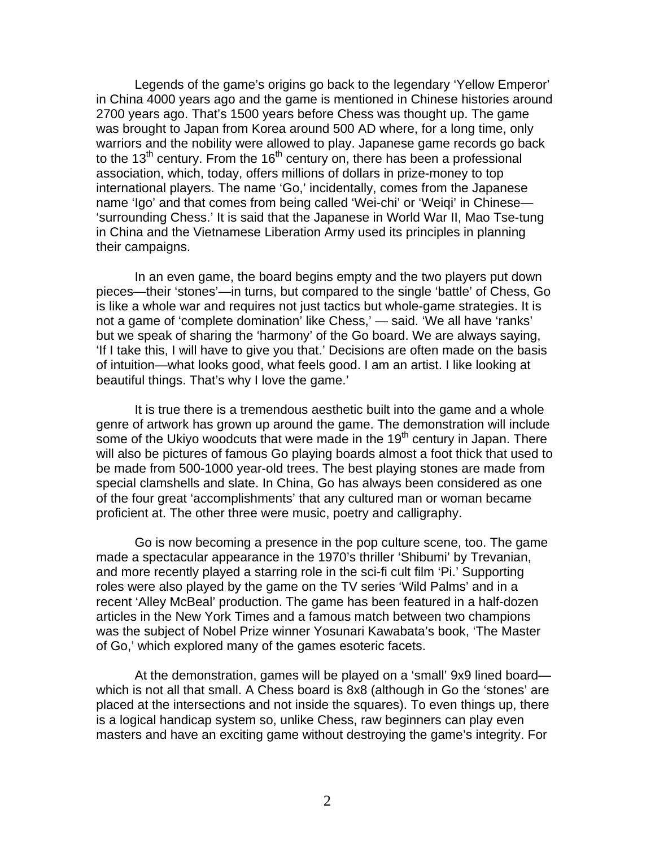Legends of the game's origins go back to the legendary 'Yellow Emperor' in China 4000 years ago and the game is mentioned in Chinese histories around 2700 years ago. That's 1500 years before Chess was thought up. The game was brought to Japan from Korea around 500 AD where, for a long time, only warriors and the nobility were allowed to play. Japanese game records go back to the 13<sup>th</sup> century. From the 16<sup>th</sup> century on, there has been a professional association, which, today, offers millions of dollars in prize-money to top international players. The name 'Go,' incidentally, comes from the Japanese name 'Igo' and that comes from being called 'Wei-chi' or 'Weiqi' in Chinese— 'surrounding Chess.' It is said that the Japanese in World War II, Mao Tse-tung in China and the Vietnamese Liberation Army used its principles in planning their campaigns.

In an even game, the board begins empty and the two players put down pieces—their 'stones'—in turns, but compared to the single 'battle' of Chess, Go is like a whole war and requires not just tactics but whole-game strategies. It is not a game of 'complete domination' like Chess,' — said. 'We all have 'ranks' but we speak of sharing the 'harmony' of the Go board. We are always saying, 'If I take this, I will have to give you that.' Decisions are often made on the basis of intuition—what looks good, what feels good. I am an artist. I like looking at beautiful things. That's why I love the game.'

It is true there is a tremendous aesthetic built into the game and a whole genre of artwork has grown up around the game. The demonstration will include some of the Ukiyo woodcuts that were made in the 19<sup>th</sup> century in Japan. There will also be pictures of famous Go playing boards almost a foot thick that used to be made from 500-1000 year-old trees. The best playing stones are made from special clamshells and slate. In China, Go has always been considered as one of the four great 'accomplishments' that any cultured man or woman became proficient at. The other three were music, poetry and calligraphy.

Go is now becoming a presence in the pop culture scene, too. The game made a spectacular appearance in the 1970's thriller 'Shibumi' by Trevanian, and more recently played a starring role in the sci-fi cult film 'Pi.' Supporting roles were also played by the game on the TV series 'Wild Palms' and in a recent 'Alley McBeal' production. The game has been featured in a half-dozen articles in the New York Times and a famous match between two champions was the subject of Nobel Prize winner Yosunari Kawabata's book, 'The Master of Go,' which explored many of the games esoteric facets.

At the demonstration, games will be played on a 'small' 9x9 lined board which is not all that small. A Chess board is 8x8 (although in Go the 'stones' are placed at the intersections and not inside the squares). To even things up, there is a logical handicap system so, unlike Chess, raw beginners can play even masters and have an exciting game without destroying the game's integrity. For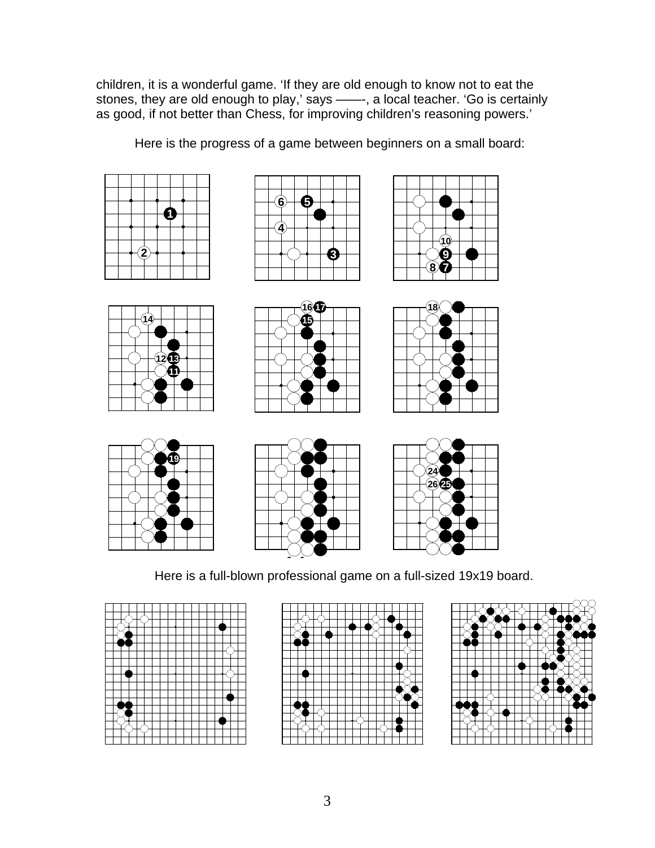children, it is a wonderful game. 'If they are old enough to know not to eat the stones, they are old enough to play,' says ——-, a local teacher. 'Go is certainly as good, if not better than Chess, for improving children's reasoning powers.'

Here is the progress of a game between beginners on a small board:







| 14)           |  |
|---------------|--|
|               |  |
| $\frac{1}{2}$ |  |
|               |  |
|               |  |











Here is a full-blown professional game on a full-sized 19x19 board.